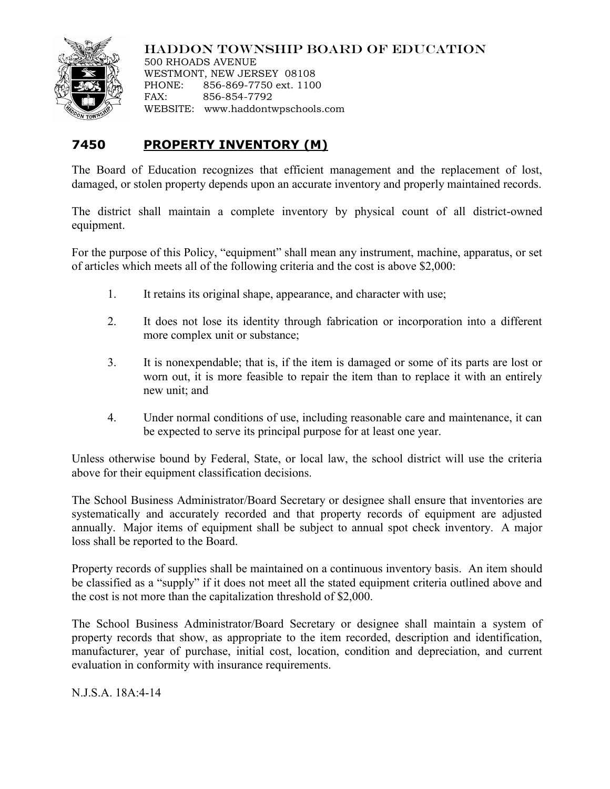

## HADDON TOWNSHIP BOARD OF EDUCATION

500 RHOADS AVENUE WESTMONT, NEW JERSEY 08108 PHONE: 856-869-7750 ext. 1100 FAX: 856-854-7792 WEBSITE: www.haddontwpschools.com

## **7450 PROPERTY INVENTORY (M)**

The Board of Education recognizes that efficient management and the replacement of lost, damaged, or stolen property depends upon an accurate inventory and properly maintained records.

The district shall maintain a complete inventory by physical count of all district-owned equipment.

For the purpose of this Policy, "equipment" shall mean any instrument, machine, apparatus, or set of articles which meets all of the following criteria and the cost is above \$2,000:

- 1. It retains its original shape, appearance, and character with use;
- 2. It does not lose its identity through fabrication or incorporation into a different more complex unit or substance;
- 3. It is nonexpendable; that is, if the item is damaged or some of its parts are lost or worn out, it is more feasible to repair the item than to replace it with an entirely new unit; and
- 4. Under normal conditions of use, including reasonable care and maintenance, it can be expected to serve its principal purpose for at least one year.

Unless otherwise bound by Federal, State, or local law, the school district will use the criteria above for their equipment classification decisions.

The School Business Administrator/Board Secretary or designee shall ensure that inventories are systematically and accurately recorded and that property records of equipment are adjusted annually. Major items of equipment shall be subject to annual spot check inventory. A major loss shall be reported to the Board.

Property records of supplies shall be maintained on a continuous inventory basis. An item should be classified as a "supply" if it does not meet all the stated equipment criteria outlined above and the cost is not more than the capitalization threshold of \$2,000.

The School Business Administrator/Board Secretary or designee shall maintain a system of property records that show, as appropriate to the item recorded, description and identification, manufacturer, year of purchase, initial cost, location, condition and depreciation, and current evaluation in conformity with insurance requirements.

N.J.S.A. 18A:4-14